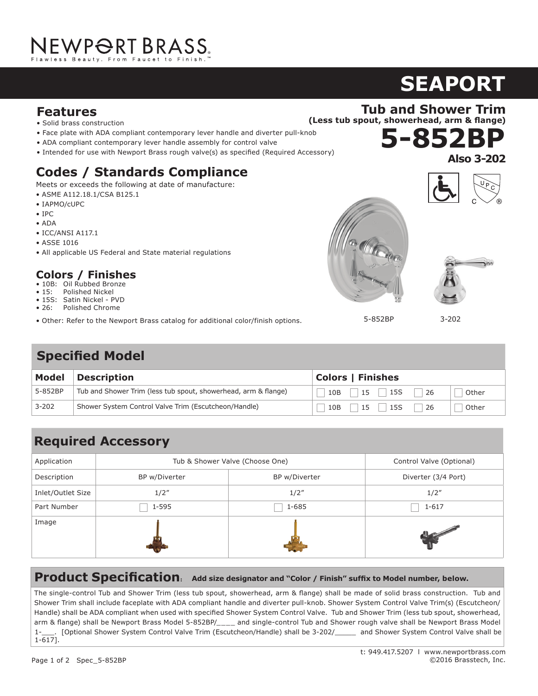## **Features**

- Solid brass construction
- Face plate with ADA compliant contemporary lever handle and diverter pull-knob<br>**Features**<br>Features and the state of the state of the state of the state of the state of the state of the state of the state of the state of
- ADA compliant contemporary lever handle assembly for control valve
- Intended for use with Newport Brass rough valve(s) as specified (Required Accessory)

## **Codes / Standards Compliance**

Meets or exceeds the following at date of manufacture:

- ASME A112.18.1/CSA B125.1  $\frac{1}{\sqrt{2}}$
- IAPMO/cUPC
- IPC
- ADA
- $\bullet$  ICC/ANSI A117.1
- ASSE 1016
- All applicable US Federal and State material regulations

### **Colors / Finishes**

- 10B: Oil Rubbed Bronze
- 15: Polished Nickel • 1.5 gallons (5.7 liters) per minute maximum flow rate
- 15S: Satin Nickel PVD • 26: Polished Chrome
- zo: Ponsned Chrome<br>• Other: Refer to the Newport Brass catalog for additional color/finish options. to the fremport Brass catalog for additional color/fillion

## **Specified Model**

| Model     | <b>Description</b>                                             | <b>Colors   Finishes</b>                         |  |
|-----------|----------------------------------------------------------------|--------------------------------------------------|--|
| 5-852BP   | Tub and Shower Trim (less tub spout, showerhead, arm & flange) | 15S<br>10B<br>-26<br>15<br>Other                 |  |
| $3 - 202$ | Shower System Control Valve Trim (Escutcheon/Handle)           | $\vert$ 15S<br>10B<br>-26<br>$15 \quad$<br>Other |  |

#### **Required Accessory**  $\mathbf{F} = \mathbf{F} \mathbf{F} \mathbf{F} \mathbf{F} \mathbf{F} \mathbf{F} \mathbf{F} \mathbf{F} \mathbf{F} \mathbf{F} \mathbf{F} \mathbf{F} \mathbf{F} \mathbf{F} \mathbf{F} \mathbf{F} \mathbf{F} \mathbf{F} \mathbf{F} \mathbf{F} \mathbf{F} \mathbf{F} \mathbf{F} \mathbf{F} \mathbf{F} \mathbf{F} \mathbf{F} \mathbf{F} \mathbf{F} \mathbf{F} \mathbf{F} \mathbf{F} \mathbf{F} \mathbf{F} \mathbf{F} \mathbf$

| Application       | Tub & Shower Valve (Choose One) |               | Control Valve (Optional) |
|-------------------|---------------------------------|---------------|--------------------------|
| Description       | BP w/Diverter                   | BP w/Diverter | Diverter (3/4 Port)      |
| Inlet/Outlet Size | 1/2''                           | 1/2''         | 1/2''                    |
| Part Number       | $1 - 595$                       | $1 - 685$     | $1 - 617$                |
| Image             |                                 |               |                          |

#### **Product Specification: Add size designator and "Color / Finish" suffix to Model number, below.**

Handle) shall be ADA compliant when used with specified Shower System Control Valve. Tub and Shower Trim (less tub spout, showerhead, International Caucasy Faucet Shall be made of solid brass construction in the magnetic State of Solid brass control Value chall be made of solid brass control Value chall be spout assembly with the spout assembly with with 1-\_\_\_\_. [Optional Shower System Control Valve Trim (Escutcheon/Handle) shall be 3-202/\_\_\_\_\_\_ and Shower System Control Valve shall be |<br>1-6171 1.5 gallon (5.7 liter) per minute maximum flow rate. Product shall be for 8" (20.3 cm) centers - Maximum 20" (50.8 cm). Product shall The single-control Tub and Shower Trim (less tub spout, showerhead, arm & flange) shall be made of solid brass construction. Tub and Shower Trim shall include faceplate with ADA compliant handle and diverter pull-knob. Shower System Control Valve Trim(s) (Escutcheon/ arm & flange) shall be Newport Brass Model 5-852BP/\_\_\_\_ and single-control Tub and Shower rough valve shall be Newport Brass Model 1-617].



**SEAPORT**





5-852BP

3-202